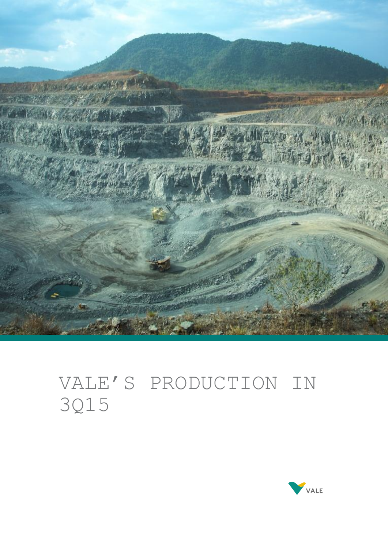

# VALE'S PRODUCTION IN 3Q15

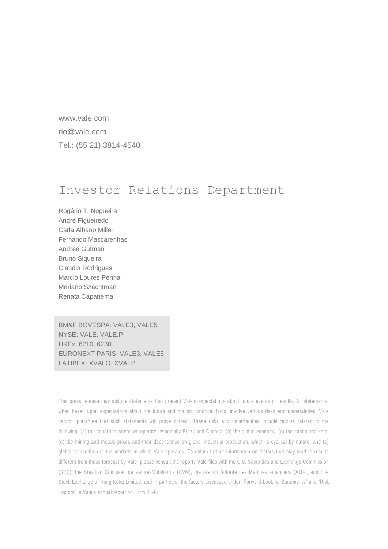www.vale.com rio@vale.com Tel.: (55 21) 3814-4540

# Investor Relations Department

Rogério T. Nogueira André Figueiredo Carla Albano Miller Fernando Mascarenhas Andrea Gutman Bruno Siqueira Claudia Rodrigues Marcio Loures Penna Mariano Szachtman Renata Capanema

BM&F BOVESPA: VALE3, VALE5 NYSE: VALE, VALE.P HKEx: 6210, 6230 EURONEXT PARIS: VALE3, VALE5 LATIBEX: XVALO, XVALP

This press release may include statements that present Vale's expectations about future events or results. All statements, when based upon expectations about the future and not on historical facts, involve various risks and uncertainties. Vale cannot guarantee that such statements will prove correct. These risks and uncertainties include factors related to the following: (a) the countries where we operate, especially Brazil and Canada; (b) the global economy; (c) the capital markets; (d) the mining and metals prices and their dependence on global industrial production, which is cyclical by nature; and (e) global competition in the markets in which Vale operates. To obtain further information on factors that may lead to results different from those forecast by Vale, please consult the reports Vale files with the U.S. Securities and Exchange Commission (SEC), the Brazilian Comissão de ValoresMobiliários (CVM), the French Autorité des Marchés Financiers (AMF), and The Stock Exchange of Hong Kong Limited, and in particular the factors discussed under "Forward-Looking Statements" and "Risk Factors" in Vale's annual report on Form 20-F.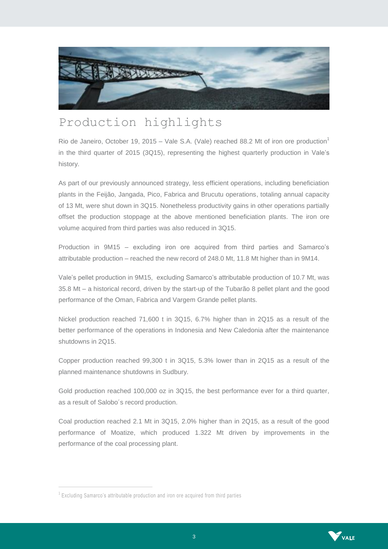

# Production highlights

Rio de Janeiro, October 19, 2015 – Vale S.A. (Vale) reached 88.2 Mt of iron ore production<sup>1</sup> in the third quarter of 2015 (3Q15), representing the highest quarterly production in Vale's history.

As part of our previously announced strategy, less efficient operations, including beneficiation plants in the Feijão, Jangada, Pico, Fabrica and Brucutu operations, totaling annual capacity of 13 Mt, were shut down in 3Q15. Nonetheless productivity gains in other operations partially offset the production stoppage at the above mentioned beneficiation plants. The iron ore volume acquired from third parties was also reduced in 3Q15.

Production in 9M15 – excluding iron ore acquired from third parties and Samarco's attributable production – reached the new record of 248.0 Mt, 11.8 Mt higher than in 9M14.

Vale's pellet production in 9M15, excluding Samarco's attributable production of 10.7 Mt, was 35.8 Mt – a historical record, driven by the start-up of the Tubarão 8 pellet plant and the good performance of the Oman, Fabrica and Vargem Grande pellet plants.

Nickel production reached 71,600 t in 3Q15, 6.7% higher than in 2Q15 as a result of the better performance of the operations in Indonesia and New Caledonia after the maintenance shutdowns in 2Q15.

Copper production reached 99,300 t in 3Q15, 5.3% lower than in 2Q15 as a result of the planned maintenance shutdowns in Sudbury.

Gold production reached 100,000 oz in 3Q15, the best performance ever for a third quarter, as a result of Salobo´s record production.

Coal production reached 2.1 Mt in 3Q15, 2.0% higher than in 2Q15, as a result of the good performance of Moatize, which produced 1.322 Mt driven by improvements in the performance of the coal processing plant.

 $\overline{a}$ 



<sup>&</sup>lt;sup>1</sup> Excluding Samarco's attributable production and iron ore acquired from third parties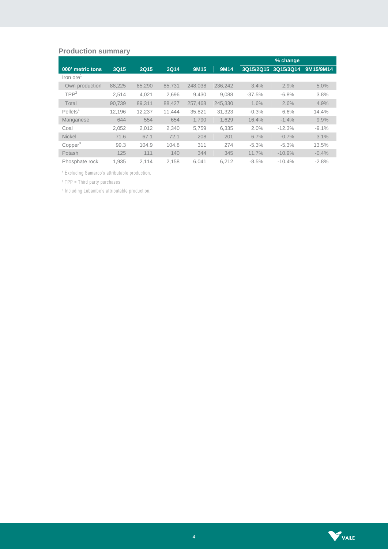# **Production summary**

|                         |        |             |             |         |         |           | % change  |           |
|-------------------------|--------|-------------|-------------|---------|---------|-----------|-----------|-----------|
| 000' metric tons        | 3Q15   | <b>2Q15</b> | <b>3Q14</b> | 9M15    | 9M14    | 3Q15/2Q15 | 3Q15/3Q14 | 9M15/9M14 |
| Iron ore                |        |             |             |         |         |           |           |           |
| Own production          | 88,225 | 85.290      | 85.731      | 248,038 | 236.242 | 3.4%      | 2.9%      | 5.0%      |
| TPP <sup>2</sup>        | 2.514  | 4.021       | 2.696       | 9.430   | 9.088   | $-37.5%$  | $-6.8%$   | 3.8%      |
| Total                   | 90.739 | 89.311      | 88.427      | 257.468 | 245.330 | 1.6%      | 2.6%      | 4.9%      |
| $Pe$ llets <sup>1</sup> | 12.196 | 12,237      | 11.444      | 35.821  | 31,323  | $-0.3%$   | 6.6%      | 14.4%     |
| Manganese               | 644    | 554         | 654         | 1.790   | 1.629   | 16.4%     | $-1.4%$   | 9.9%      |
| Coal                    | 2.052  | 2.012       | 2.340       | 5.759   | 6.335   | 2.0%      | $-12.3%$  | $-9.1%$   |
| <b>Nickel</b>           | 71.6   | 67.1        | 72.1        | 208     | 201     | 6.7%      | $-0.7%$   | 3.1%      |
| Copper <sup>3</sup>     | 99.3   | 104.9       | 104.8       | 311     | 274     | $-5.3%$   | $-5.3%$   | 13.5%     |
| Potash                  | 125    | 111         | 140         | 344     | 345     | 11.7%     | $-10.9%$  | $-0.4%$   |
| Phosphate rock          | 1.935  | 2.114       | 2.158       | 6.041   | 6.212   | $-8.5%$   | $-10.4%$  | $-2.8%$   |

<sup>1</sup> Excluding Samarco's attributable production.

² TPP = Third party purchases

<sup>3</sup> Including Lubambe's attributable production.

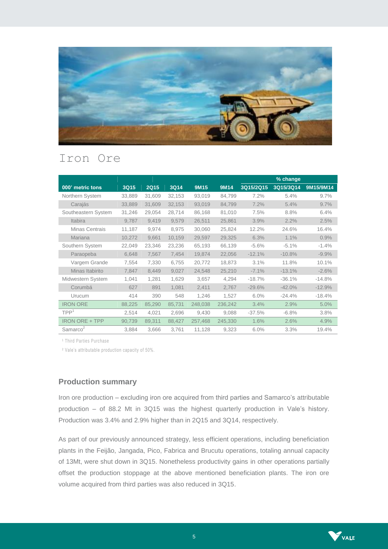

# Iron Ore

|                       |        |             |             |         |             |           | % change  |           |
|-----------------------|--------|-------------|-------------|---------|-------------|-----------|-----------|-----------|
| 000' metric tons      | 3Q15   | <b>2Q15</b> | <b>3Q14</b> | 9M15    | <b>9M14</b> | 3Q15/2Q15 | 3Q15/3Q14 | 9M15/9M14 |
| Northern System       | 33,889 | 31,609      | 32,153      | 93,019  | 84,799      | 7.2%      | 5.4%      | 9.7%      |
| Carajás               | 33,889 | 31,609      | 32,153      | 93,019  | 84,799      | 7.2%      | 5.4%      | 9.7%      |
| Southeastern System   | 31,246 | 29,054      | 28,714      | 86,168  | 81,010      | 7.5%      | 8.8%      | 6.4%      |
| <b>Itabira</b>        | 9,787  | 9,419       | 9,579       | 26,511  | 25,861      | 3.9%      | 2.2%      | 2.5%      |
| Minas Centrais        | 11,187 | 9,974       | 8,975       | 30,060  | 25,824      | 12.2%     | 24.6%     | 16.4%     |
| Mariana               | 10,272 | 9,661       | 10,159      | 29,597  | 29,325      | 6.3%      | 1.1%      | 0.9%      |
| Southern System       | 22,049 | 23,346      | 23,236      | 65,193  | 66,139      | $-5.6%$   | $-5.1%$   | $-1.4%$   |
| Paraopeba             | 6.648  | 7,567       | 7,454       | 19,874  | 22,056      | $-12.1%$  | $-10.8%$  | $-9.9%$   |
| Vargem Grande         | 7,554  | 7,330       | 6,755       | 20,772  | 18,873      | 3.1%      | 11.8%     | 10.1%     |
| Minas Itabirito       | 7,847  | 8,449       | 9,027       | 24,548  | 25,210      | $-7.1\%$  | $-13.1%$  | $-2.6%$   |
| Midwestern System     | 1,041  | 1,281       | 1,629       | 3,657   | 4,294       | $-18.7%$  | $-36.1%$  | $-14.8%$  |
| Corumbá               | 627    | 891         | 1,081       | 2,411   | 2,767       | $-29.6%$  | $-42.0%$  | $-12.9%$  |
| Urucum                | 414    | 390         | 548         | 1,246   | 1,527       | 6.0%      | $-24.4%$  | $-18.4%$  |
| <b>IRON ORE</b>       | 88,225 | 85,290      | 85,731      | 248,038 | 236,242     | 3.4%      | 2.9%      | 5.0%      |
| TPP <sup>1</sup>      | 2,514  | 4,021       | 2,696       | 9,430   | 9,088       | $-37.5%$  | $-6.8%$   | 3.8%      |
| <b>IRON ORE + TPP</b> | 90,739 | 89,311      | 88,427      | 257,468 | 245,330     | 1.6%      | 2.6%      | 4.9%      |
| Samarco <sup>2</sup>  | 3,884  | 3,666       | 3,761       | 11,128  | 9,323       | 6.0%      | 3.3%      | 19.4%     |

<sup>1</sup> Third Parties Purchase

² Vale's attributable production capacity of 50%.

# **Production summary**

Iron ore production – excluding iron ore acquired from third parties and Samarco's attributable production – of 88.2 Mt in 3Q15 was the highest quarterly production in Vale's history. Production was 3.4% and 2.9% higher than in 2Q15 and 3Q14, respectively.

As part of our previously announced strategy, less efficient operations, including beneficiation plants in the Feijão, Jangada, Pico, Fabrica and Brucutu operations, totaling annual capacity of 13Mt, were shut down in 3Q15. Nonetheless productivity gains in other operations partially offset the production stoppage at the above mentioned beneficiation plants. The iron ore volume acquired from third parties was also reduced in 3Q15.

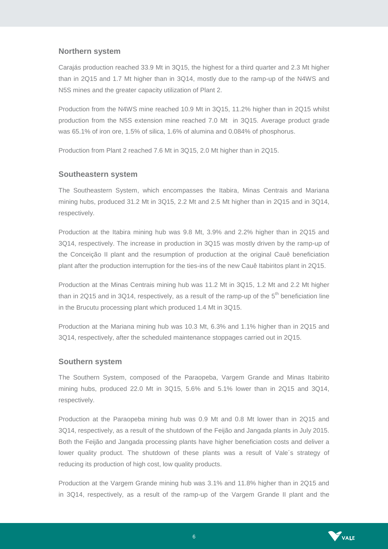#### **Northern system**

Carajás production reached 33.9 Mt in 3Q15, the highest for a third quarter and 2.3 Mt higher than in 2Q15 and 1.7 Mt higher than in 3Q14, mostly due to the ramp-up of the N4WS and N5S mines and the greater capacity utilization of Plant 2.

Production from the N4WS mine reached 10.9 Mt in 3Q15, 11.2% higher than in 2Q15 whilst production from the N5S extension mine reached 7.0 Mt in 3Q15. Average product grade was 65.1% of iron ore, 1.5% of silica, 1.6% of alumina and 0.084% of phosphorus.

Production from Plant 2 reached 7.6 Mt in 3Q15, 2.0 Mt higher than in 2Q15.

#### **Southeastern system**

The Southeastern System, which encompasses the Itabira, Minas Centrais and Mariana mining hubs, produced 31.2 Mt in 3Q15, 2.2 Mt and 2.5 Mt higher than in 2Q15 and in 3Q14, respectively.

Production at the Itabira mining hub was 9.8 Mt, 3.9% and 2.2% higher than in 2Q15 and 3Q14, respectively. The increase in production in 3Q15 was mostly driven by the ramp-up of the Conceição II plant and the resumption of production at the original Cauê beneficiation plant after the production interruption for the ties-ins of the new Cauê Itabiritos plant in 2Q15.

Production at the Minas Centrais mining hub was 11.2 Mt in 3Q15, 1.2 Mt and 2.2 Mt higher than in 2Q15 and in 3Q14, respectively, as a result of the ramp-up of the  $5<sup>th</sup>$  beneficiation line in the Brucutu processing plant which produced 1.4 Mt in 3Q15.

Production at the Mariana mining hub was 10.3 Mt, 6.3% and 1.1% higher than in 2Q15 and 3Q14, respectively, after the scheduled maintenance stoppages carried out in 2Q15.

#### **Southern system**

The Southern System, composed of the Paraopeba, Vargem Grande and Minas Itabirito mining hubs, produced 22.0 Mt in 3Q15, 5.6% and 5.1% lower than in 2Q15 and 3Q14, respectively.

Production at the Paraopeba mining hub was 0.9 Mt and 0.8 Mt lower than in 2Q15 and 3Q14, respectively, as a result of the shutdown of the Feijão and Jangada plants in July 2015. Both the Feijão and Jangada processing plants have higher beneficiation costs and deliver a lower quality product. The shutdown of these plants was a result of Vale´s strategy of reducing its production of high cost, low quality products.

Production at the Vargem Grande mining hub was 3.1% and 11.8% higher than in 2Q15 and in 3Q14, respectively, as a result of the ramp-up of the Vargem Grande II plant and the

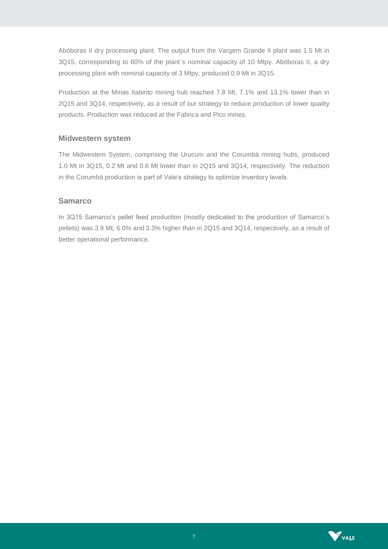Abóboras II dry processing plant. The output from the Vargem Grande II plant was 1.5 Mt in 3Q15, corresponding to 60% of the plant´s nominal capacity of 10 Mtpy. Abóboras II, a dry processing plant with nominal capacity of 3 Mtpy, produced 0.9 Mt in 3Q15.

Production at the Minas Itabirito mining hub reached 7.8 Mt, 7.1% and 13.1% lower than in 2Q15 and 3Q14, respectively, as a result of our strategy to reduce production of lower quality products. Production was reduced at the Fabrica and Pico mines.

#### **Midwestern system**

The Midwestern System, comprising the Urucum and the Corumbá mining hubs, produced 1.0 Mt in 3Q15, 0.2 Mt and 0.6 Mt lower than in 2Q15 and 3Q14, respectively. The reduction in the Corumbá production is part of Vale's strategy to optimize inventory levels.

### **Samarco**

In 3Q15 Samarco's pellet feed production (mostly dedicated to the production of Samarco´s pellets) was 3.9 Mt, 6.0% and 3.3% higher than in 2Q15 and 3Q14, respectively, as a result of better operational performance.

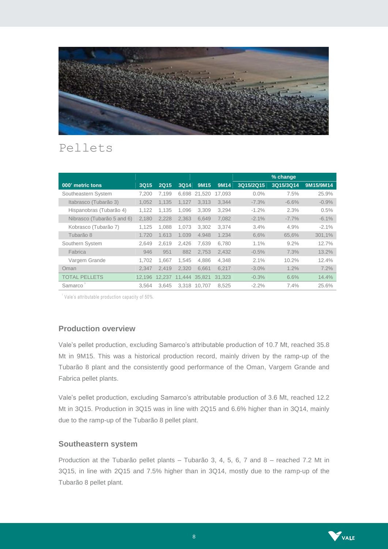

# Pellets

|                            |        |             |        |        |        |           | % change  |           |
|----------------------------|--------|-------------|--------|--------|--------|-----------|-----------|-----------|
| 000' metric tons           | 3Q15   | <b>2Q15</b> | 3Q14   | 9M15   | 9M14   | 3Q15/2Q15 | 3Q15/3Q14 | 9M15/9M14 |
| Southeastern System        | 7.200  | 7.199       | 6.698  | 21.520 | 17.093 | $0.0\%$   | 7.5%      | 25.9%     |
| Itabrasco (Tubarão 3)      | 1,052  | 1,135       | 1,127  | 3,313  | 3,344  | $-7.3%$   | $-6.6%$   | $-0.9%$   |
| Hispanobras (Tubarão 4)    | 1.122  | 1.135       | 1.096  | 3.309  | 3.294  | $-1.2%$   | 2.3%      | 0.5%      |
| Nibrasco (Tubarão 5 and 6) | 2.180  | 2,228       | 2.363  | 6,649  | 7,082  | $-2.1%$   | $-7.7\%$  | $-6.1%$   |
| Kobrasco (Tubarão 7)       | 1.125  | 1.088       | 1.073  | 3,302  | 3.374  | 3.4%      | 4.9%      | $-2.1%$   |
| Tubarão 8                  | 1.720  | 1.613       | 1.039  | 4.948  | 1.234  | 6,6%      | 65,6%     | 301,1%    |
| Southern System            | 2,649  | 2.619       | 2.426  | 7,639  | 6,780  | 1.1%      | $9.2\%$   | 12.7%     |
| Fabrica                    | 946    | 951         | 882    | 2,753  | 2,432  | $-0.5%$   | 7.3%      | 13.2%     |
| Vargem Grande              | 1.702  | 1.667       | 1.545  | 4.886  | 4.348  | 2.1%      | 10.2%     | 12.4%     |
| Oman                       | 2.347  | 2,419       | 2.320  | 6.661  | 6.217  | $-3.0\%$  | 1.2%      | 7.2%      |
| <b>TOTAL PELLETS</b>       | 12,196 | 12,237      | 11.444 | 35.821 | 31.323 | $-0.3%$   | 6.6%      | 14.4%     |
| Samarco                    | 3.564  | 3.645       | 3.318  | 10.707 | 8.525  | $-2.2%$   | 7.4%      | 25.6%     |

<sup>'</sup> Vale's attributable production capacity of 50%.

# **Production overview**

Vale's pellet production, excluding Samarco's attributable production of 10.7 Mt, reached 35.8 Mt in 9M15. This was a historical production record, mainly driven by the ramp-up of the Tubarão 8 plant and the consistently good performance of the Oman, Vargem Grande and Fabrica pellet plants.

Vale's pellet production, excluding Samarco's attributable production of 3.6 Mt, reached 12.2 Mt in 3Q15. Production in 3Q15 was in line with 2Q15 and 6.6% higher than in 3Q14, mainly due to the ramp-up of the Tubarão 8 pellet plant.

#### **Southeastern system**

Production at the Tubarão pellet plants – Tubarão 3, 4, 5, 6, 7 and 8 – reached 7.2 Mt in 3Q15, in line with 2Q15 and 7.5% higher than in 3Q14, mostly due to the ramp-up of the Tubarão 8 pellet plant.

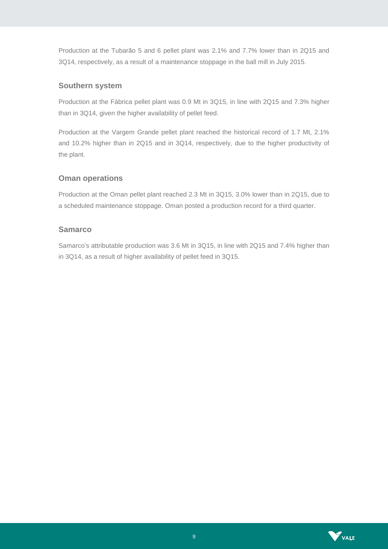Production at the Tubarão 5 and 6 pellet plant was 2.1% and 7.7% lower than in 2Q15 and 3Q14, respectively, as a result of a maintenance stoppage in the ball mill in July 2015.

### **Southern system**

Production at the Fábrica pellet plant was 0.9 Mt in 3Q15, in line with 2Q15 and 7.3% higher than in 3Q14, given the higher availability of pellet feed.

Production at the Vargem Grande pellet plant reached the historical record of 1.7 Mt, 2.1% and 10.2% higher than in 2Q15 and in 3Q14, respectively, due to the higher productivity of the plant.

# **Oman operations**

Production at the Oman pellet plant reached 2.3 Mt in 3Q15, 3.0% lower than in 2Q15, due to a scheduled maintenance stoppage. Oman posted a production record for a third quarter.

### **Samarco**

Samarco's attributable production was 3.6 Mt in 3Q15, in line with 2Q15 and 7.4% higher than in 3Q14, as a result of higher availability of pellet feed in 3Q15.

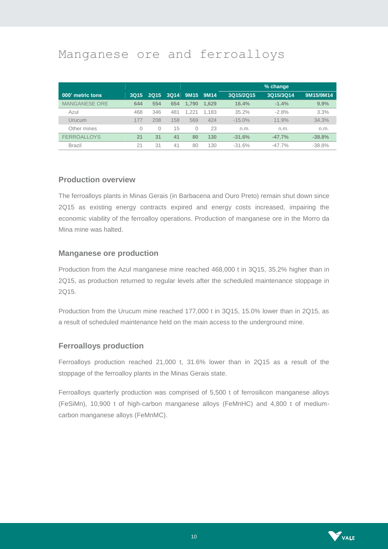# Manganese ore and ferroalloys

|                      |             |          |             |          |       |           | % change  |           |
|----------------------|-------------|----------|-------------|----------|-------|-----------|-----------|-----------|
| 000' metric tons     | <b>3Q15</b> | 2015     | <b>3Q14</b> | 9M15     | 9M14  | 3Q15/2Q15 | 3Q15/3Q14 | 9M15/9M14 |
| <b>MANGANESE ORE</b> | 644         | 554      | 654         | 1.790    | 1.629 | 16.4%     | $-1.4%$   | 9.9%      |
| Azul                 | 468         | 346      | 481         | 1.221    | 1.183 | 35.2%     | $-2.8%$   | 3.3%      |
| Urucum               | 177         | 208      | 158         | 569      | 424   | $-15.0\%$ | 11.9%     | 34.3%     |
| Other mines          | $\Omega$    | $\Omega$ | 15          | $\Omega$ | 23    | n.m.      | n.m.      | n.m.      |
| <b>FERROALLOYS</b>   | 21          | 31       | 41          | 80       | 130   | $-31.6%$  | $-47.7%$  | $-38.8%$  |
| <b>Brazil</b>        | 21          | 31       | 41          | 80       | 130   | $-31.6%$  | $-47.7\%$ | $-38.8%$  |

#### **Production overview**

The ferroalloys plants in Minas Gerais (in Barbacena and Ouro Preto) remain shut down since 2Q15 as existing energy contracts expired and energy costs increased, impairing the economic viability of the ferroalloy operations. Production of manganese ore in the Morro da Mina mine was halted.

### **Manganese ore production**

Production from the Azul manganese mine reached 468,000 t in 3Q15, 35.2% higher than in 2Q15, as production returned to regular levels after the scheduled maintenance stoppage in 2Q15.

Production from the Urucum mine reached 177,000 t in 3Q15, 15.0% lower than in 2Q15, as a result of scheduled maintenance held on the main access to the underground mine.

# **Ferroalloys production**

Ferroalloys production reached 21,000 t, 31.6% lower than in 2Q15 as a result of the stoppage of the ferroalloy plants in the Minas Gerais state.

Ferroalloys quarterly production was comprised of 5,500 t of ferrosilicon manganese alloys (FeSiMn), 10,900 t of high-carbon manganese alloys (FeMnHC) and 4,800 t of mediumcarbon manganese alloys (FeMnMC).

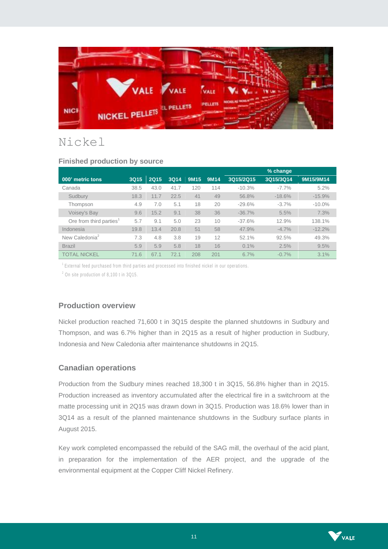

# Nickel

| <u>External production</u> by occident |             |             |             |                  |      |           |           |           |
|----------------------------------------|-------------|-------------|-------------|------------------|------|-----------|-----------|-----------|
|                                        |             |             |             |                  |      |           | % change  |           |
| 000' metric tons                       | <b>3Q15</b> | <b>2Q15</b> | <b>3Q14</b> | 9M <sub>15</sub> | 9M14 | 3Q15/2Q15 | 3Q15/3Q14 | 9M15/9M14 |
| Canada                                 | 38.5        | 43.0        | 41.7        | 120              | 114  | $-10.3%$  | $-7.7\%$  | 5.2%      |
| Sudbury                                | 18.3        | 11.7        | 22.5        | 41               | 49   | 56.8%     | $-18.6%$  | $-15.9%$  |
| Thompson                               | 4.9         | 7.0         | 5.1         | 18               | 20   | $-29.6%$  | $-3.7%$   | $-10.0\%$ |
| <b>Voisey's Bay</b>                    | 9.6         | 15.2        | 9.1         | 38               | 36   | $-36.7%$  | 5.5%      | 7.3%      |
| Ore from third parties <sup>1</sup>    | 5.7         | 9.1         | 5.0         | 23               | 10   | $-37.6%$  | 12.9%     | 138.1%    |
| Indonesia                              | 19.8        | 13.4        | 20.8        | 51               | 58   | 47.9%     | $-4.7%$   | $-12.2%$  |
| New Caledonia <sup>2</sup>             | 7.3         | 4.8         | 3.8         | 19               | 12   | 52.1%     | 92.5%     | 49.3%     |
| <b>Brazil</b>                          | 5.9         | 5.9         | 5.8         | 18               | 16   | $0.1\%$   | 2.5%      | 9.5%      |
| <b>TOTAL NICKEL</b>                    | 71.6        | 67.1        | 72.1        | 208              | 201  | 6.7%      | $-0.7%$   | 3.1%      |

# **Finished production by source**

<sup>1</sup> External feed purchased from third parties and processed into finished nickel in our operations.

<sup>2</sup> On site production of 8,100 t in 3Q15.

#### **Production overview**

Nickel production reached 71,600 t in 3Q15 despite the planned shutdowns in Sudbury and Thompson, and was 6.7% higher than in 2Q15 as a result of higher production in Sudbury, Indonesia and New Caledonia after maintenance shutdowns in 2Q15.

#### **Canadian operations**

Production from the Sudbury mines reached 18,300 t in 3Q15, 56.8% higher than in 2Q15. Production increased as inventory accumulated after the electrical fire in a switchroom at the matte processing unit in 2Q15 was drawn down in 3Q15. Production was 18.6% lower than in 3Q14 as a result of the planned maintenance shutdowns in the Sudbury surface plants in August 2015.

Key work completed encompassed the rebuild of the SAG mill, the overhaul of the acid plant, in preparation for the implementation of the AER project, and the upgrade of the environmental equipment at the Copper Cliff Nickel Refinery.

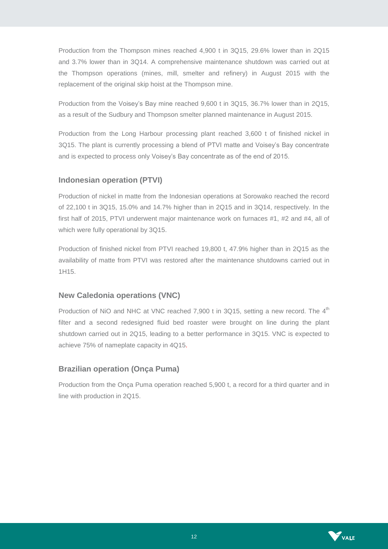Production from the Thompson mines reached 4,900 t in 3Q15, 29.6% lower than in 2Q15 and 3.7% lower than in 3Q14. A comprehensive maintenance shutdown was carried out at the Thompson operations (mines, mill, smelter and refinery) in August 2015 with the replacement of the original skip hoist at the Thompson mine.

Production from the Voisey's Bay mine reached 9,600 t in 3Q15, 36.7% lower than in 2Q15, as a result of the Sudbury and Thompson smelter planned maintenance in August 2015.

Production from the Long Harbour processing plant reached 3,600 t of finished nickel in 3Q15. The plant is currently processing a blend of PTVI matte and Voisey's Bay concentrate and is expected to process only Voisey's Bay concentrate as of the end of 2015.

# **Indonesian operation (PTVI)**

Production of nickel in matte from the Indonesian operations at Sorowako reached the record of 22,100 t in 3Q15, 15.0% and 14.7% higher than in 2Q15 and in 3Q14, respectively. In the first half of 2015, PTVI underwent major maintenance work on furnaces #1, #2 and #4, all of which were fully operational by 3Q15.

Production of finished nickel from PTVI reached 19,800 t, 47.9% higher than in 2Q15 as the availability of matte from PTVI was restored after the maintenance shutdowns carried out in 1H15.

# **New Caledonia operations (VNC)**

Production of NiO and NHC at VNC reached 7,900 t in 3Q15, setting a new record. The  $4^{\text{th}}$ filter and a second redesigned fluid bed roaster were brought on line during the plant shutdown carried out in 2Q15, leading to a better performance in 3Q15. VNC is expected to achieve 75% of nameplate capacity in 4Q15.

# **Brazilian operation (Onça Puma)**

Production from the Onça Puma operation reached 5,900 t, a record for a third quarter and in line with production in 2Q15.

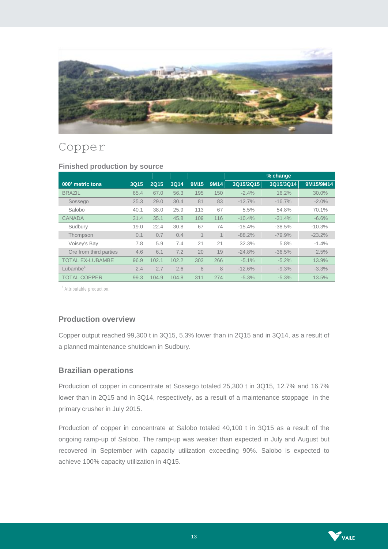

# Copper

|                         |      |             |       |                  |                |           | % change  |           |
|-------------------------|------|-------------|-------|------------------|----------------|-----------|-----------|-----------|
| 000' metric tons        | 3Q15 | <b>2Q15</b> | 3Q14  | 9M <sub>15</sub> | <b>9M14</b>    | 3Q15/2Q15 | 3Q15/3Q14 | 9M15/9M14 |
| <b>BRAZIL</b>           | 65.4 | 67.0        | 56.3  | 195              | 150            | $-2.4%$   | 16.2%     | 30.0%     |
| Sossego                 | 25.3 | 29.0        | 30.4  | 81               | 83             | $-12.7%$  | $-16.7%$  | $-2.0%$   |
| Salobo                  | 40.1 | 38.0        | 25.9  | 113              | 67             | 5.5%      | 54.8%     | 70.1%     |
| <b>CANADA</b>           | 31.4 | 35.1        | 45.8  | 109              | 116            | $-10.4%$  | $-31.4%$  | $-6.6%$   |
| Sudbury                 | 19.0 | 22.4        | 30.8  | 67               | 74             | $-15.4%$  | $-38.5%$  | $-10.3%$  |
| Thompson                | 0.1  | 0.7         | 0.4   |                  | $\overline{A}$ | $-88.2%$  | $-79.9%$  | $-23.2%$  |
| Voisey's Bay            | 7.8  | 5.9         | 7.4   | 21               | 21             | 32.3%     | 5.8%      | $-1.4%$   |
| Ore from third parties  | 4.6  | 6.1         | 7.2   | 20               | 19             | $-24.8%$  | $-36.5%$  | 2.5%      |
| <b>TOTAL EX-LUBAMBE</b> | 96.9 | 102.1       | 102.2 | 303              | 266            | $-5.1%$   | $-5.2%$   | 13.9%     |
| Lubambe <sup>1</sup>    | 2.4  | 2.7         | 2.6   | 8                | 8              | $-12.6%$  | $-9.3%$   | $-3.3%$   |
| <b>TOTAL COPPER</b>     | 99.3 | 104.9       | 104.8 | 311              | 274            | $-5.3%$   | $-5.3%$   | 13.5%     |

#### **Finished production by source**

<sup>1</sup> Attributable production.

# **Production overview**

Copper output reached 99,300 t in 3Q15, 5.3% lower than in 2Q15 and in 3Q14, as a result of a planned maintenance shutdown in Sudbury.

#### **Brazilian operations**

Production of copper in concentrate at Sossego totaled 25,300 t in 3Q15, 12.7% and 16.7% lower than in 2Q15 and in 3Q14, respectively, as a result of a maintenance stoppage in the primary crusher in July 2015.

Production of copper in concentrate at Salobo totaled 40,100 t in 3Q15 as a result of the ongoing ramp-up of Salobo. The ramp-up was weaker than expected in July and August but recovered in September with capacity utilization exceeding 90%. Salobo is expected to achieve 100% capacity utilization in 4Q15.

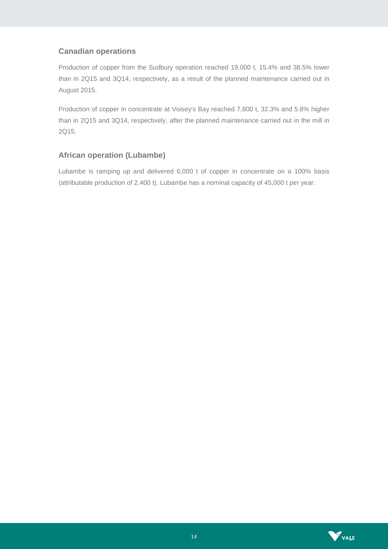# **Canadian operations**

Production of copper from the Sudbury operation reached 19,000 t, 15.4% and 38.5% lower than in 2Q15 and 3Q14, respectively, as a result of the planned maintenance carried out in August 2015.

Production of copper in concentrate at Voisey's Bay reached 7,800 t, 32.3% and 5.8% higher than in 2Q15 and 3Q14, respectively, after the planned maintenance carried out in the mill in 2Q15.

# **African operation (Lubambe)**

Lubambe is ramping up and delivered 6,000 t of copper in concentrate on a 100% basis (attributable production of 2,400 t). Lubambe has a nominal capacity of 45,000 t per year.

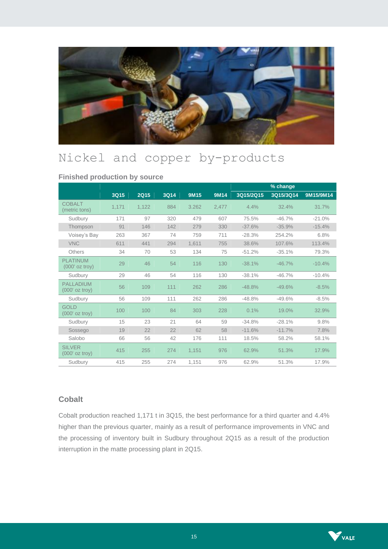

# Nickel and copper by-products

|                                      |       |             |      |             |             |           | % change  |           |
|--------------------------------------|-------|-------------|------|-------------|-------------|-----------|-----------|-----------|
|                                      | 3Q15  | <b>2Q15</b> | 3Q14 | <b>9M15</b> | <b>9M14</b> | 3Q15/2Q15 | 3Q15/3Q14 | 9M15/9M14 |
| <b>COBALT</b><br>(metric tons)       | 1,171 | 1,122       | 884  | 3.262       | 2,477       | 4.4%      | 32.4%     | 31.7%     |
| Sudbury                              | 171   | 97          | 320  | 479         | 607         | 75.5%     | $-46.7%$  | $-21.0%$  |
| Thompson                             | 91    | 146         | 142  | 279         | 330         | $-37.6%$  | $-35.9%$  | $-15.4%$  |
| Voisey's Bay                         | 263   | 367         | 74   | 759         | 711         | $-28.3%$  | 254.2%    | 6.8%      |
| <b>VNC</b>                           | 611   | 441         | 294  | 1.611       | 755         | 38.6%     | 107.6%    | 113.4%    |
| <b>Others</b>                        | 34    | 70          | 53   | 134         | 75          | $-51.2%$  | $-35.1%$  | 79.3%     |
| <b>PLATINUM</b><br>$(000'$ oz troy)  | 29    | 46          | 54   | 116         | 130         | $-38.1%$  | $-46.7%$  | $-10.4%$  |
| Sudbury                              | 29    | 46          | 54   | 116         | 130         | $-38.1%$  | $-46.7%$  | $-10.4%$  |
| <b>PALLADIUM</b><br>$(000'$ oz troy) | 56    | 109         | 111  | 262         | 286         | $-48.8%$  | $-49.6%$  | $-8.5%$   |
| Sudbury                              | 56    | 109         | 111  | 262         | 286         | $-48.8%$  | $-49.6%$  | $-8.5%$   |
| <b>GOLD</b><br>$(000'$ oz troy)      | 100   | 100         | 84   | 303         | 228         | 0.1%      | 19.0%     | 32.9%     |
| Sudbury                              | 15    | 23          | 21   | 64          | 59          | $-34.8%$  | $-28.1%$  | 9.8%      |
| Sossego                              | 19    | 22          | 22   | 62          | 58          | $-11.6%$  | $-11.7%$  | 7.8%      |
| Salobo                               | 66    | 56          | 42   | 176         | 111         | 18.5%     | 58.2%     | 58.1%     |
| <b>SILVER</b><br>$(000'$ oz troy)    | 415   | 255         | 274  | 1,151       | 976         | 62.9%     | 51.3%     | 17.9%     |
| Sudbury                              | 415   | 255         | 274  | 1,151       | 976         | 62.9%     | 51.3%     | 17.9%     |

**Finished production by source**

# **Cobalt**

Cobalt production reached 1,171 t in 3Q15, the best performance for a third quarter and 4.4% higher than the previous quarter, mainly as a result of performance improvements in VNC and the processing of inventory built in Sudbury throughout 2Q15 as a result of the production interruption in the matte processing plant in 2Q15.

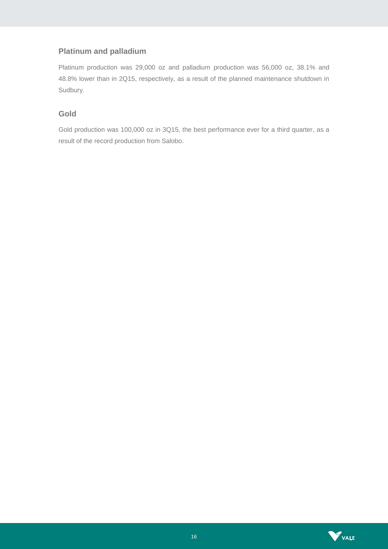# **Platinum and palladium**

Platinum production was 29,000 oz and palladium production was 56,000 oz, 38.1% and 48.8% lower than in 2Q15, respectively, as a result of the planned maintenance shutdown in Sudbury.

# **Gold**

Gold production was 100,000 oz in 3Q15, the best performance ever for a third quarter, as a result of the record production from Salobo.

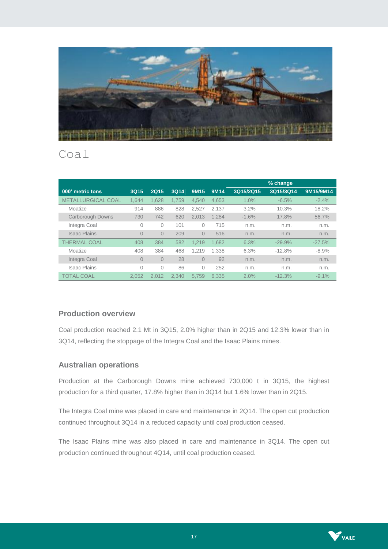

# Coal

|                           |                |             |       |                  |       |           | % change  |           |
|---------------------------|----------------|-------------|-------|------------------|-------|-----------|-----------|-----------|
| 000' metric tons          | 3Q15           | <b>2Q15</b> | 3Q14  | 9M <sub>15</sub> | 9M14  | 3Q15/2Q15 | 3Q15/3Q14 | 9M15/9M14 |
| <b>METALLURGICAL COAL</b> | 1.644          | 1.628       | 1.759 | 4.540            | 4.653 | 1.0%      | $-6.5%$   | $-2.4%$   |
| Moatize                   | 914            | 886         | 828   | 2.527            | 2.137 | 3.2%      | 10.3%     | 18.2%     |
| <b>Carborough Downs</b>   | 730            | 742         | 620   | 2.013            | 1.284 | $-1.6%$   | 17.8%     | 56.7%     |
| Integra Coal              | 0              | 0           | 101   | 0                | 715   | n.m.      | n.m.      | n.m.      |
| <b>Isaac Plains</b>       | $\overline{0}$ | $\Omega$    | 209   | $\Omega$         | 516   | n.m.      | n.m.      | n.m.      |
| <b>THERMAL COAL</b>       | 408            | 384         | 582   | 1.219            | 1.682 | 6.3%      | $-29.9%$  | $-27.5%$  |
| Moatize                   | 408            | 384         | 468   | 1.219            | 1.338 | 6.3%      | $-12.8%$  | $-8.9%$   |
| Integra Coal              | $\overline{0}$ | $\Omega$    | 28    | $\Omega$         | 92    | n.m.      | n.m.      | n.m.      |
| <b>Isaac Plains</b>       | 0              | $\Omega$    | 86    | 0                | 252   | n.m.      | n.m.      | n.m.      |
| <b>TOTAL COAL</b>         | 2.052          | 2.012       | 2.340 | 5.759            | 6.335 | 2.0%      | $-12.3%$  | $-9.1\%$  |

# **Production overview**

Coal production reached 2.1 Mt in 3Q15, 2.0% higher than in 2Q15 and 12.3% lower than in 3Q14, reflecting the stoppage of the Integra Coal and the Isaac Plains mines.

# **Australian operations**

Production at the Carborough Downs mine achieved 730,000 t in 3Q15, the highest production for a third quarter, 17.8% higher than in 3Q14 but 1.6% lower than in 2Q15.

The Integra Coal mine was placed in care and maintenance in 2Q14. The open cut production continued throughout 3Q14 in a reduced capacity until coal production ceased.

The Isaac Plains mine was also placed in care and maintenance in 3Q14. The open cut production continued throughout 4Q14, until coal production ceased.

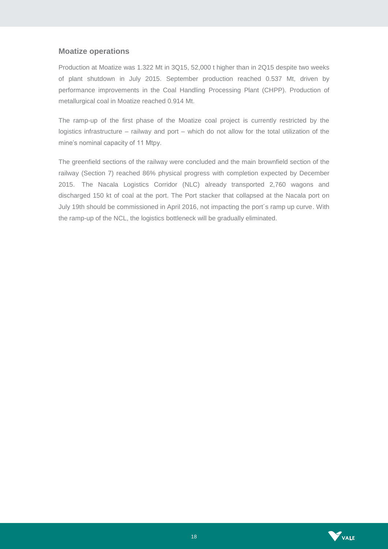#### **Moatize operations**

Production at Moatize was 1.322 Mt in 3Q15, 52,000 t higher than in 2Q15 despite two weeks of plant shutdown in July 2015. September production reached 0.537 Mt, driven by performance improvements in the Coal Handling Processing Plant (CHPP). Production of metallurgical coal in Moatize reached 0.914 Mt.

The ramp-up of the first phase of the Moatize coal project is currently restricted by the logistics infrastructure – railway and port – which do not allow for the total utilization of the mine's nominal capacity of 11 Mtpy.

The greenfield sections of the railway were concluded and the main brownfield section of the railway (Section 7) reached 86% physical progress with completion expected by December 2015. The Nacala Logistics Corridor (NLC) already transported 2,760 wagons and discharged 150 kt of coal at the port. The Port stacker that collapsed at the Nacala port on July 19th should be commissioned in April 2016, not impacting the port´s ramp up curve. With the ramp-up of the NCL, the logistics bottleneck will be gradually eliminated.

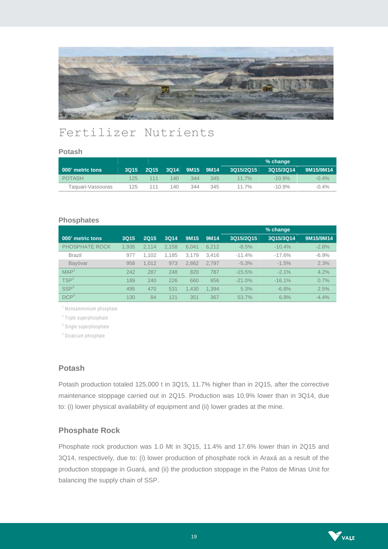

# Fertilizer Nutrients

#### **Potash**

|                         |      |      |      |                             |     |           | % change  |           |
|-------------------------|------|------|------|-----------------------------|-----|-----------|-----------|-----------|
| <b>000' metric tons</b> | 3015 | 2015 |      | 3Q14 9M15 9M14 <sup>。</sup> |     | 3Q15/2Q15 | 3Q15/3Q14 | 9M15/9M14 |
| <b>POTASH</b>           | 125  | 111  | 140. | 344                         | 345 | $11.7\%$  | $-10.9\%$ | $-0.4\%$  |
| Taguari-Vassouras       | 125  | 111  | 140. | 344                         | 345 | 11.7%     | $-10.9\%$ | $-0.4\%$  |

#### **Phosphates**

|                  |             |             |             |       |       |           | % change  |           |
|------------------|-------------|-------------|-------------|-------|-------|-----------|-----------|-----------|
| 000' metric tons | <b>3Q15</b> | <b>2Q15</b> | <b>3Q14</b> | 9M15  | 9M14  | 3Q15/2Q15 | 3Q15/3Q14 | 9M15/9M14 |
| PHOSPHATE ROCK   | 1.935       | 2.114       | 2.158       | 6.041 | 6.212 | $-8.5%$   | $-10.4%$  | $-2.8%$   |
| <b>Brazil</b>    | 977         | 1.102       | 1.185       | 3.179 | 3.416 | $-11.4%$  | $-17.6%$  | $-6.9%$   |
| Bavóvar          | 958         | 1.012       | 973         | 2.862 | 2.797 | $-5.3%$   | $-1.5%$   | 2.3%      |
| MAP <sup>1</sup> | 242         | 287         | 248         | 820   | 787   | $-15.5%$  | $-2.1%$   | 4.2%      |
| TSP <sup>2</sup> | 189         | 240         | 226         | 660   | 656   | $-21.0%$  | $-16.1%$  | 0.7%      |
| SSP <sup>3</sup> | 495         | 470         | 531         | 1.430 | 1.394 | 5.3%      | $-6.8%$   | 2.5%      |
| DCP <sup>4</sup> | 130         | 84          | 121         | 351   | 367   | 53.7%     | 6.9%      | $-4.4%$   |

<sup>1</sup> Monoammonium phosphate

<sup>2</sup> Triple superphosphate

<sup>3</sup> Single superphosphate

<sup>4</sup> Dicalcium phosphate

#### **Potash**

Potash production totaled 125,000 t in 3Q15, 11.7% higher than in 2Q15, after the corrective maintenance stoppage carried out in 2Q15. Production was 10.9% lower than in 3Q14, due to: (i) lower physical availability of equipment and (ii) lower grades at the mine.

#### **Phosphate Rock**

Phosphate rock production was 1.0 Mt in 3Q15, 11.4% and 17.6% lower than in 2Q15 and 3Q14, respectively, due to: (i) lower production of phosphate rock in Araxá as a result of the production stoppage in Guará, and (ii) the production stoppage in the Patos de Minas Unit for balancing the supply chain of SSP.

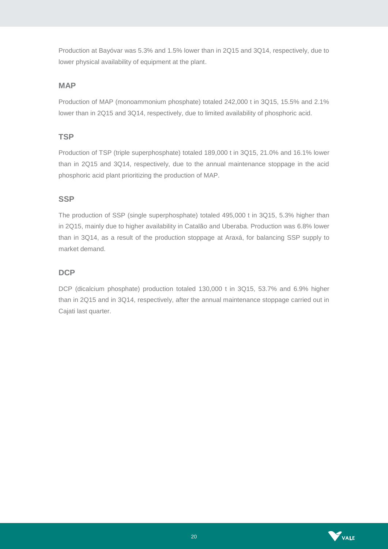Production at Bayóvar was 5.3% and 1.5% lower than in 2Q15 and 3Q14, respectively, due to lower physical availability of equipment at the plant.

# **MAP**

Production of MAP (monoammonium phosphate) totaled 242,000 t in 3Q15, 15.5% and 2.1% lower than in 2Q15 and 3Q14, respectively, due to limited availability of phosphoric acid.

# **TSP**

Production of TSP (triple superphosphate) totaled 189,000 t in 3Q15, 21.0% and 16.1% lower than in 2Q15 and 3Q14, respectively, due to the annual maintenance stoppage in the acid phosphoric acid plant prioritizing the production of MAP.

# **SSP**

The production of SSP (single superphosphate) totaled 495,000 t in 3Q15, 5.3% higher than in 2Q15, mainly due to higher availability in Catalão and Uberaba. Production was 6.8% lower than in 3Q14, as a result of the production stoppage at Araxá, for balancing SSP supply to market demand.

# **DCP**

DCP (dicalcium phosphate) production totaled 130,000 t in 3Q15, 53.7% and 6.9% higher than in 2Q15 and in 3Q14, respectively, after the annual maintenance stoppage carried out in Cajati last quarter.